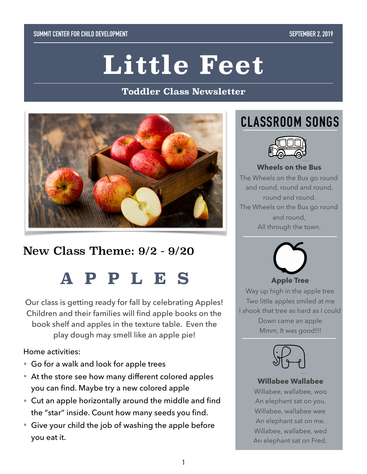#### **SUMMIT CENTER FOR CHILD DEVELOPMENT SEPTEMBER 2, 2019**

# **Little Feet**

#### **Toddler Class Newsletter**



## New Class Theme: 9/2 - 9/20

## **APPLES**

Our class is getting ready for fall by celebrating Apples! Children and their families will find apple books on the book shelf and apples in the texture table. Even the play dough may smell like an apple pie!

#### Home activities:

- Go for a walk and look for apple trees
- At the store see how many different colored apples you can find. Maybe try a new colored apple
- Cut an apple horizontally around the middle and find the "star" inside. Count how many seeds you find.
- Give your child the job of washing the apple before you eat it.

## **CLASSROOM SONGS**



#### **Wheels on the Bus**

The Wheels on the Bus go round and round, round and round, round and round. The Wheels on the Bus go round and round, All through the town.



Way up high in the apple tree Two little apples smiled at me I shook that tree as hard as I could

> Down came an apple Mmm, It was good!!!



#### **Willabee Wallabee**

Willabee, wallabee, woo An elephant sat on you. Willabee, wallabee wee An elephant sat on me. Willabee, wallabee, wed An elephant sat on Fred.